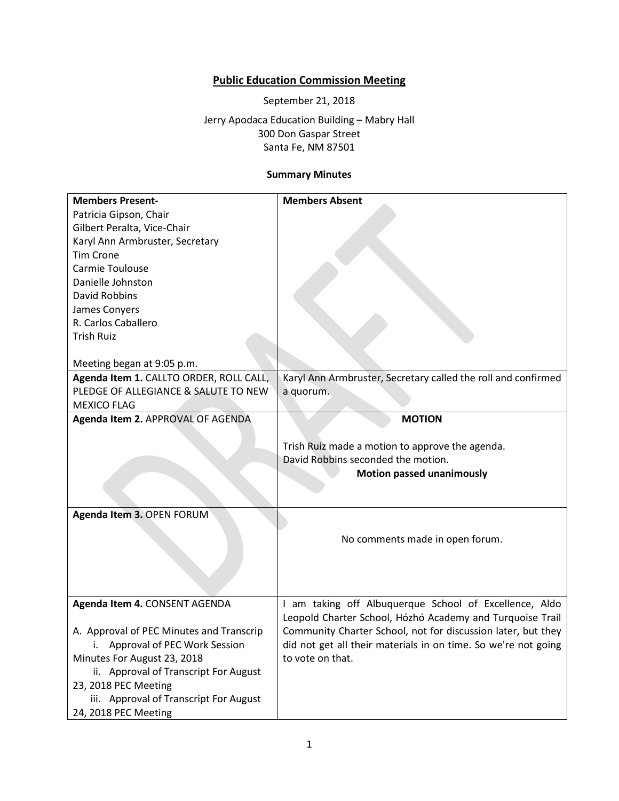## **Public Education Commission Meeting**

September 21, 2018

Jerry Apodaca Education Building – Mabry Hall 300 Don Gaspar Street Santa Fe, NM 87501

## **Summary Minutes**

| <b>Members Present-</b>                                                                                                                                                                                                                                                                                                                                                  | <b>Members Absent</b>                                                                                                                                                                                           |
|--------------------------------------------------------------------------------------------------------------------------------------------------------------------------------------------------------------------------------------------------------------------------------------------------------------------------------------------------------------------------|-----------------------------------------------------------------------------------------------------------------------------------------------------------------------------------------------------------------|
| Patricia Gipson, Chair                                                                                                                                                                                                                                                                                                                                                   |                                                                                                                                                                                                                 |
| Gilbert Peralta, Vice-Chair                                                                                                                                                                                                                                                                                                                                              |                                                                                                                                                                                                                 |
| Karyl Ann Armbruster, Secretary                                                                                                                                                                                                                                                                                                                                          |                                                                                                                                                                                                                 |
|                                                                                                                                                                                                                                                                                                                                                                          |                                                                                                                                                                                                                 |
| <b>Tim Crone</b>                                                                                                                                                                                                                                                                                                                                                         |                                                                                                                                                                                                                 |
|                                                                                                                                                                                                                                                                                                                                                                          |                                                                                                                                                                                                                 |
|                                                                                                                                                                                                                                                                                                                                                                          |                                                                                                                                                                                                                 |
|                                                                                                                                                                                                                                                                                                                                                                          |                                                                                                                                                                                                                 |
|                                                                                                                                                                                                                                                                                                                                                                          |                                                                                                                                                                                                                 |
|                                                                                                                                                                                                                                                                                                                                                                          |                                                                                                                                                                                                                 |
| <b>Trish Ruiz</b>                                                                                                                                                                                                                                                                                                                                                        |                                                                                                                                                                                                                 |
|                                                                                                                                                                                                                                                                                                                                                                          |                                                                                                                                                                                                                 |
| Meeting began at 9:05 p.m.                                                                                                                                                                                                                                                                                                                                               |                                                                                                                                                                                                                 |
| Agenda Item 1. CALLTO ORDER, ROLL CALL,                                                                                                                                                                                                                                                                                                                                  | Karyl Ann Armbruster, Secretary called the roll and confirmed                                                                                                                                                   |
| PLEDGE OF ALLEGIANCE & SALUTE TO NEW                                                                                                                                                                                                                                                                                                                                     | a quorum.                                                                                                                                                                                                       |
| <b>MEXICO FLAG</b>                                                                                                                                                                                                                                                                                                                                                       |                                                                                                                                                                                                                 |
|                                                                                                                                                                                                                                                                                                                                                                          | <b>MOTION</b>                                                                                                                                                                                                   |
|                                                                                                                                                                                                                                                                                                                                                                          |                                                                                                                                                                                                                 |
|                                                                                                                                                                                                                                                                                                                                                                          |                                                                                                                                                                                                                 |
|                                                                                                                                                                                                                                                                                                                                                                          | David Robbins seconded the motion.                                                                                                                                                                              |
|                                                                                                                                                                                                                                                                                                                                                                          |                                                                                                                                                                                                                 |
|                                                                                                                                                                                                                                                                                                                                                                          |                                                                                                                                                                                                                 |
|                                                                                                                                                                                                                                                                                                                                                                          |                                                                                                                                                                                                                 |
|                                                                                                                                                                                                                                                                                                                                                                          |                                                                                                                                                                                                                 |
|                                                                                                                                                                                                                                                                                                                                                                          |                                                                                                                                                                                                                 |
|                                                                                                                                                                                                                                                                                                                                                                          | No comments made in open forum.                                                                                                                                                                                 |
|                                                                                                                                                                                                                                                                                                                                                                          |                                                                                                                                                                                                                 |
|                                                                                                                                                                                                                                                                                                                                                                          |                                                                                                                                                                                                                 |
|                                                                                                                                                                                                                                                                                                                                                                          |                                                                                                                                                                                                                 |
|                                                                                                                                                                                                                                                                                                                                                                          |                                                                                                                                                                                                                 |
| Agenda Item 4. CONSENT AGENDA                                                                                                                                                                                                                                                                                                                                            |                                                                                                                                                                                                                 |
|                                                                                                                                                                                                                                                                                                                                                                          | Leopold Charter School, Hózhó Academy and Turquoise Trail                                                                                                                                                       |
| A. Approval of PEC Minutes and Transcrip                                                                                                                                                                                                                                                                                                                                 | Community Charter School, not for discussion later, but they                                                                                                                                                    |
| i.                                                                                                                                                                                                                                                                                                                                                                       |                                                                                                                                                                                                                 |
|                                                                                                                                                                                                                                                                                                                                                                          | to vote on that.                                                                                                                                                                                                |
|                                                                                                                                                                                                                                                                                                                                                                          |                                                                                                                                                                                                                 |
|                                                                                                                                                                                                                                                                                                                                                                          |                                                                                                                                                                                                                 |
|                                                                                                                                                                                                                                                                                                                                                                          |                                                                                                                                                                                                                 |
|                                                                                                                                                                                                                                                                                                                                                                          |                                                                                                                                                                                                                 |
| Carmie Toulouse<br>Danielle Johnston<br><b>David Robbins</b><br>James Conyers<br>R. Carlos Caballero<br>Agenda Item 2. APPROVAL OF AGENDA<br>Agenda Item 3. OPEN FORUM<br>Approval of PEC Work Session<br>Minutes For August 23, 2018<br>ii. Approval of Transcript For August<br>23, 2018 PEC Meeting<br>iii. Approval of Transcript For August<br>24, 2018 PEC Meeting | Trish Ruiz made a motion to approve the agenda.<br><b>Motion passed unanimously</b><br>I am taking off Albuquerque School of Excellence, Aldo<br>did not get all their materials in on time. So we're not going |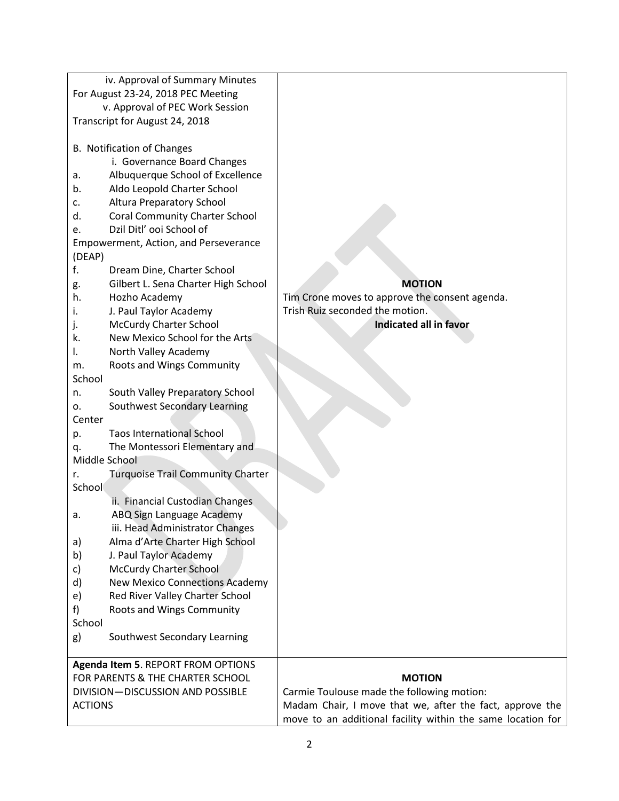|                                    | iv. Approval of Summary Minutes          |                                                             |
|------------------------------------|------------------------------------------|-------------------------------------------------------------|
| For August 23-24, 2018 PEC Meeting |                                          |                                                             |
| v. Approval of PEC Work Session    |                                          |                                                             |
|                                    | Transcript for August 24, 2018           |                                                             |
|                                    | B. Notification of Changes               |                                                             |
|                                    | i. Governance Board Changes              |                                                             |
| a.                                 | Albuquerque School of Excellence         |                                                             |
| b.                                 | Aldo Leopold Charter School              |                                                             |
| c.                                 | Altura Preparatory School                |                                                             |
| d.                                 | <b>Coral Community Charter School</b>    |                                                             |
| e.                                 | Dzil Ditl' ooi School of                 |                                                             |
|                                    | Empowerment, Action, and Perseverance    |                                                             |
| (DEAP)                             |                                          |                                                             |
| f.                                 | Dream Dine, Charter School               |                                                             |
| g.                                 | Gilbert L. Sena Charter High School      | <b>MOTION</b>                                               |
| h.                                 | Hozho Academy                            | Tim Crone moves to approve the consent agenda.              |
| i.                                 | J. Paul Taylor Academy                   | Trish Ruiz seconded the motion.                             |
| j.                                 | <b>McCurdy Charter School</b>            | Indicated all in favor                                      |
| k.                                 | New Mexico School for the Arts           |                                                             |
| I.                                 | North Valley Academy                     |                                                             |
| m.<br>School                       | Roots and Wings Community                |                                                             |
| n.                                 | South Valley Preparatory School          |                                                             |
| 0.                                 | Southwest Secondary Learning             |                                                             |
| Center                             |                                          |                                                             |
| p.                                 | <b>Taos International School</b>         |                                                             |
| q.                                 | The Montessori Elementary and            |                                                             |
| Middle School                      |                                          |                                                             |
| r.                                 | <b>Turquoise Trail Community Charter</b> |                                                             |
| School                             |                                          |                                                             |
|                                    | ii. Financial Custodian Changes          |                                                             |
| a.                                 | ABQ Sign Language Academy                |                                                             |
|                                    | iii. Head Administrator Changes          |                                                             |
| a)                                 | Alma d'Arte Charter High School          |                                                             |
| b)                                 | J. Paul Taylor Academy                   |                                                             |
| c)                                 | <b>McCurdy Charter School</b>            |                                                             |
| d)                                 | <b>New Mexico Connections Academy</b>    |                                                             |
| e)                                 | Red River Valley Charter School          |                                                             |
| f)                                 | Roots and Wings Community                |                                                             |
| School                             |                                          |                                                             |
| g)                                 | Southwest Secondary Learning             |                                                             |
| Agenda Item 5. REPORT FROM OPTIONS |                                          |                                                             |
| FOR PARENTS & THE CHARTER SCHOOL   |                                          | <b>MOTION</b>                                               |
| DIVISION-DISCUSSION AND POSSIBLE   |                                          | Carmie Toulouse made the following motion:                  |
| <b>ACTIONS</b>                     |                                          | Madam Chair, I move that we, after the fact, approve the    |
|                                    |                                          | move to an additional facility within the same location for |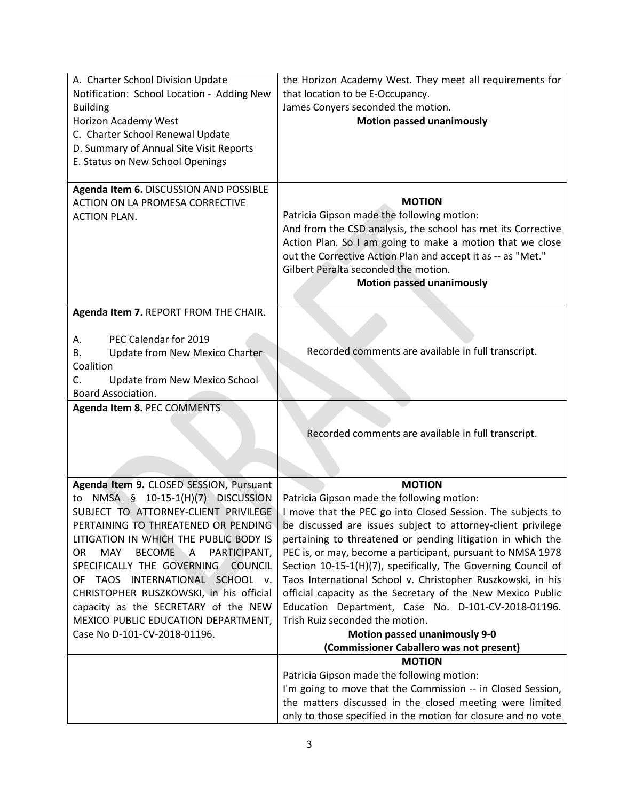| A. Charter School Division Update<br>Notification: School Location - Adding New<br><b>Building</b><br>Horizon Academy West<br>C. Charter School Renewal Update<br>D. Summary of Annual Site Visit Reports                                                                                                                                                                                                                                                       | the Horizon Academy West. They meet all requirements for<br>that location to be E-Occupancy.<br>James Conyers seconded the motion.<br><b>Motion passed unanimously</b>                                                                                                                                                                                                                                                                                                                                                                                                                                                                                                                                                                              |
|-----------------------------------------------------------------------------------------------------------------------------------------------------------------------------------------------------------------------------------------------------------------------------------------------------------------------------------------------------------------------------------------------------------------------------------------------------------------|-----------------------------------------------------------------------------------------------------------------------------------------------------------------------------------------------------------------------------------------------------------------------------------------------------------------------------------------------------------------------------------------------------------------------------------------------------------------------------------------------------------------------------------------------------------------------------------------------------------------------------------------------------------------------------------------------------------------------------------------------------|
| E. Status on New School Openings                                                                                                                                                                                                                                                                                                                                                                                                                                |                                                                                                                                                                                                                                                                                                                                                                                                                                                                                                                                                                                                                                                                                                                                                     |
| Agenda Item 6. DISCUSSION AND POSSIBLE<br>ACTION ON LA PROMESA CORRECTIVE<br><b>ACTION PLAN.</b>                                                                                                                                                                                                                                                                                                                                                                | <b>MOTION</b><br>Patricia Gipson made the following motion:<br>And from the CSD analysis, the school has met its Corrective<br>Action Plan. So I am going to make a motion that we close<br>out the Corrective Action Plan and accept it as -- as "Met."<br>Gilbert Peralta seconded the motion.<br><b>Motion passed unanimously</b>                                                                                                                                                                                                                                                                                                                                                                                                                |
| Agenda Item 7. REPORT FROM THE CHAIR.                                                                                                                                                                                                                                                                                                                                                                                                                           |                                                                                                                                                                                                                                                                                                                                                                                                                                                                                                                                                                                                                                                                                                                                                     |
| PEC Calendar for 2019<br>А.<br>Update from New Mexico Charter<br>В.<br>Coalition<br>C.<br>Update from New Mexico School<br>Board Association.                                                                                                                                                                                                                                                                                                                   | Recorded comments are available in full transcript.                                                                                                                                                                                                                                                                                                                                                                                                                                                                                                                                                                                                                                                                                                 |
| Agenda Item 8. PEC COMMENTS                                                                                                                                                                                                                                                                                                                                                                                                                                     |                                                                                                                                                                                                                                                                                                                                                                                                                                                                                                                                                                                                                                                                                                                                                     |
|                                                                                                                                                                                                                                                                                                                                                                                                                                                                 | Recorded comments are available in full transcript.                                                                                                                                                                                                                                                                                                                                                                                                                                                                                                                                                                                                                                                                                                 |
| Agenda Item 9. CLOSED SESSION, Pursuant                                                                                                                                                                                                                                                                                                                                                                                                                         | <b>MOTION</b>                                                                                                                                                                                                                                                                                                                                                                                                                                                                                                                                                                                                                                                                                                                                       |
| NMSA $\S$ 10-15-1(H)(7) DISCUSSION<br>to<br>SUBJECT TO ATTORNEY-CLIENT PRIVILEGE<br>PERTAINING TO THREATENED OR PENDING<br>LITIGATION IN WHICH THE PUBLIC BODY IS<br>BECOME A<br><b>MAY</b><br>PARTICIPANT,<br>OR.<br>SPECIFICALLY THE GOVERNING<br><b>COUNCIL</b><br>OF TAOS INTERNATIONAL SCHOOL v.<br>CHRISTOPHER RUSZKOWSKI, in his official<br>capacity as the SECRETARY of the NEW<br>MEXICO PUBLIC EDUCATION DEPARTMENT,<br>Case No D-101-CV-2018-01196. | Patricia Gipson made the following motion:<br>I move that the PEC go into Closed Session. The subjects to<br>be discussed are issues subject to attorney-client privilege<br>pertaining to threatened or pending litigation in which the<br>PEC is, or may, become a participant, pursuant to NMSA 1978<br>Section 10-15-1(H)(7), specifically, The Governing Council of<br>Taos International School v. Christopher Ruszkowski, in his<br>official capacity as the Secretary of the New Mexico Public<br>Education Department, Case No. D-101-CV-2018-01196.<br>Trish Ruiz seconded the motion.<br><b>Motion passed unanimously 9-0</b><br>(Commissioner Caballero was not present)<br><b>MOTION</b><br>Patricia Gipson made the following motion: |
|                                                                                                                                                                                                                                                                                                                                                                                                                                                                 | I'm going to move that the Commission -- in Closed Session,<br>the matters discussed in the closed meeting were limited<br>only to those specified in the motion for closure and no vote                                                                                                                                                                                                                                                                                                                                                                                                                                                                                                                                                            |